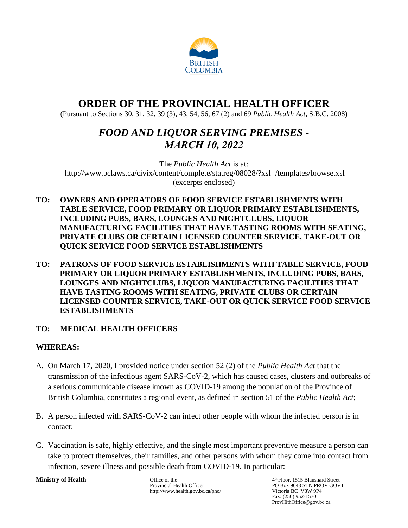

# **ORDER OF THE PROVINCIAL HEALTH OFFICER**

(Pursuant to Sections 30, 31, 32, 39 (3), 43, 54, 56, 67 (2) and 69 *Public Health Act*, S.B.C. 2008)

# *FOOD AND LIQUOR SERVING PREMISES - MARCH 10, 2022*

The *Public Health Act* is at: <http://www.bclaws.ca/civix/content/complete/statreg/08028/?xsl=/templates/browse.xsl> (excerpts enclosed)

- **TO: OWNERS AND OPERATORS OF FOOD SERVICE ESTABLISHMENTS WITH TABLE SERVICE, FOOD PRIMARY OR LIQUOR PRIMARY ESTABLISHMENTS, INCLUDING PUBS, BARS, LOUNGES AND NIGHTCLUBS, LIQUOR MANUFACTURING FACILITIES THAT HAVE TASTING ROOMS WITH SEATING, PRIVATE CLUBS OR CERTAIN LICENSED COUNTER SERVICE, TAKE-OUT OR QUICK SERVICE FOOD SERVICE ESTABLISHMENTS**
- **TO: PATRONS OF FOOD SERVICE ESTABLISHMENTS WITH TABLE SERVICE, FOOD PRIMARY OR LIQUOR PRIMARY ESTABLISHMENTS, INCLUDING PUBS, BARS, LOUNGES AND NIGHTCLUBS, LIQUOR MANUFACTURING FACILITIES THAT HAVE TASTING ROOMS WITH SEATING, PRIVATE CLUBS OR CERTAIN LICENSED COUNTER SERVICE, TAKE-OUT OR QUICK SERVICE FOOD SERVICE ESTABLISHMENTS**

# **TO: MEDICAL HEALTH OFFICERS**

# **WHEREAS:**

- A. On March 17, 2020, I provided notice under section 52 (2) of the *Public Health Act* that the transmission of the infectious agent SARS-CoV-2, which has caused cases, clusters and outbreaks of a serious communicable disease known as COVID-19 among the population of the Province of British Columbia, constitutes a regional event, as defined in section 51 of the *Public Health Act*;
- B. A person infected with SARS-CoV-2 can infect other people with whom the infected person is in contact;
- C. Vaccination is safe, highly effective, and the single most important preventive measure a person can take to protect themselves, their families, and other persons with whom they come into contact from infection, severe illness and possible death from COVID-19. In particular:

**Ministry of Health Company of Health** Office of the 4-Provincial Health Officer http://www.health.gov.bc.ca/pho/ 4<sup>th</sup> Floor, 1515 Blanshard Street PO Box 9648 STN PROV GOVT<br>Victoria BC V8W 9P4 Fax: (250) 952-1570 ProvHlthOffice@gov.bc.ca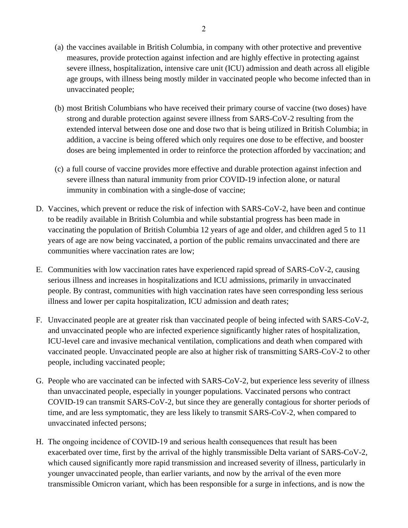- (a) the vaccines available in British Columbia, in company with other protective and preventive measures, provide protection against infection and are highly effective in protecting against severe illness, hospitalization, intensive care unit (ICU) admission and death across all eligible age groups, with illness being mostly milder in vaccinated people who become infected than in unvaccinated people;
- (b) most British Columbians who have received their primary course of vaccine (two doses) have strong and durable protection against severe illness from SARS-CoV-2 resulting from the extended interval between dose one and dose two that is being utilized in British Columbia; in addition, a vaccine is being offered which only requires one dose to be effective, and booster doses are being implemented in order to reinforce the protection afforded by vaccination; and
- (c) a full course of vaccine provides more effective and durable protection against infection and severe illness than natural immunity from prior COVID-19 infection alone, or natural immunity in combination with a single-dose of vaccine;
- D. Vaccines, which prevent or reduce the risk of infection with SARS-CoV-2, have been and continue to be readily available in British Columbia and while substantial progress has been made in vaccinating the population of British Columbia 12 years of age and older, and children aged 5 to 11 years of age are now being vaccinated, a portion of the public remains unvaccinated and there are communities where vaccination rates are low;
- E. Communities with low vaccination rates have experienced rapid spread of SARS-CoV-2, causing serious illness and increases in hospitalizations and ICU admissions, primarily in unvaccinated people. By contrast, communities with high vaccination rates have seen corresponding less serious illness and lower per capita hospitalization, ICU admission and death rates;
- F. Unvaccinated people are at greater risk than vaccinated people of being infected with SARS-CoV-2, and unvaccinated people who are infected experience significantly higher rates of hospitalization, ICU-level care and invasive mechanical ventilation, complications and death when compared with vaccinated people. Unvaccinated people are also at higher risk of transmitting SARS-CoV-2 to other people, including vaccinated people;
- G. People who are vaccinated can be infected with SARS-CoV-2, but experience less severity of illness than unvaccinated people, especially in younger populations. Vaccinated persons who contract COVID-19 can transmit SARS-CoV-2, but since they are generally contagious for shorter periods of time, and are less symptomatic, they are less likely to transmit SARS-CoV-2, when compared to unvaccinated infected persons;
- H. The ongoing incidence of COVID-19 and serious health consequences that result has been exacerbated over time, first by the arrival of the highly transmissible Delta variant of SARS-CoV-2, which caused significantly more rapid transmission and increased severity of illness, particularly in younger unvaccinated people, than earlier variants, and now by the arrival of the even more transmissible Omicron variant, which has been responsible for a surge in infections, and is now the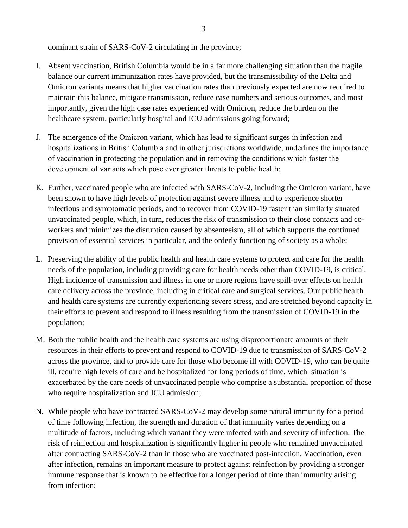dominant strain of SARS-CoV-2 circulating in the province;

- I. Absent vaccination, British Columbia would be in a far more challenging situation than the fragile balance our current immunization rates have provided, but the transmissibility of the Delta and Omicron variants means that higher vaccination rates than previously expected are now required to maintain this balance, mitigate transmission, reduce case numbers and serious outcomes, and most importantly, given the high case rates experienced with Omicron, reduce the burden on the healthcare system, particularly hospital and ICU admissions going forward;
- J. The emergence of the Omicron variant, which has lead to significant surges in infection and hospitalizations in British Columbia and in other jurisdictions worldwide, underlines the importance of vaccination in protecting the population and in removing the conditions which foster the development of variants which pose ever greater threats to public health;
- K. Further, vaccinated people who are infected with SARS-CoV-2, including the Omicron variant, have been shown to have high levels of protection against severe illness and to experience shorter infectious and symptomatic periods, and to recover from COVID-19 faster than similarly situated unvaccinated people, which, in turn, reduces the risk of transmission to their close contacts and coworkers and minimizes the disruption caused by absenteeism, all of which supports the continued provision of essential services in particular, and the orderly functioning of society as a whole;
- L. Preserving the ability of the public health and health care systems to protect and care for the health needs of the population, including providing care for health needs other than COVID-19, is critical. High incidence of transmission and illness in one or more regions have spill-over effects on health care delivery across the province, including in critical care and surgical services. Our public health and health care systems are currently experiencing severe stress, and are stretched beyond capacity in their efforts to prevent and respond to illness resulting from the transmission of COVID-19 in the population;
- M. Both the public health and the health care systems are using disproportionate amounts of their resources in their efforts to prevent and respond to COVID-19 due to transmission of SARS-CoV-2 across the province, and to provide care for those who become ill with COVID-19, who can be quite ill, require high levels of care and be hospitalized for long periods of time, which situation is exacerbated by the care needs of unvaccinated people who comprise a substantial proportion of those who require hospitalization and ICU admission;
- N. While people who have contracted SARS-CoV-2 may develop some natural immunity for a period of time following infection, the strength and duration of that immunity varies depending on a multitude of factors, including which variant they were infected with and severity of infection. The risk of reinfection and hospitalization is significantly higher in people who remained unvaccinated after contracting SARS-CoV-2 than in those who are vaccinated post-infection. Vaccination, even after infection, remains an important measure to protect against reinfection by providing a stronger immune response that is known to be effective for a longer period of time than immunity arising from infection;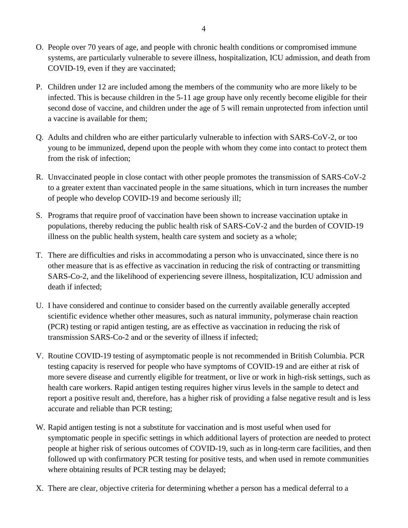- O. People over 70 years of age, and people with chronic health conditions or compromised immune systems, are particularly vulnerable to severe illness, hospitalization, ICU admission, and death from COVID-19, even if they are vaccinated;
- P. Children under 12 are included among the members of the community who are more likely to be infected. This is because children in the 5-11 age group have only recently become eligible for their second dose of vaccine, and children under the age of 5 will remain unprotected from infection until a vaccine is available for them;
- Q. Adults and children who are either particularly vulnerable to infection with SARS-CoV-2, or too young to be immunized, depend upon the people with whom they come into contact to protect them from the risk of infection;
- R. Unvaccinated people in close contact with other people promotes the transmission of SARS-CoV-2 to a greater extent than vaccinated people in the same situations, which in turn increases the number of people who develop COVID-19 and become seriously ill;
- S. Programs that require proof of vaccination have been shown to increase vaccination uptake in populations, thereby reducing the public health risk of SARS-CoV-2 and the burden of COVID-19 illness on the public health system, health care system and society as a whole;
- T. There are difficulties and risks in accommodating a person who is unvaccinated, since there is no other measure that is as effective as vaccination in reducing the risk of contracting or transmitting SARS-Co-2, and the likelihood of experiencing severe illness, hospitalization, ICU admission and death if infected;
- U. I have considered and continue to consider based on the currently available generally accepted scientific evidence whether other measures, such as natural immunity, polymerase chain reaction (PCR) testing or rapid antigen testing, are as effective as vaccination in reducing the risk of transmission SARS-Co-2 and or the severity of illness if infected;
- V. Routine COVID-19 testing of asymptomatic people is not recommended in British Columbia. PCR testing capacity is reserved for people who have symptoms of COVID-19 and are either at risk of more severe disease and currently eligible for treatment, or live or work in high-risk settings, such as health care workers. Rapid antigen testing requires higher virus levels in the sample to detect and report a positive result and, therefore, has a higher risk of providing a false negative result and is less accurate and reliable than PCR testing;
- W. Rapid antigen testing is not a substitute for vaccination and is most useful when used for symptomatic people in specific settings in which additional layers of protection are needed to protect people at higher risk of serious outcomes of COVID-19, such as in long-term care facilities, and then followed up with confirmatory PCR testing for positive tests, and when used in remote communities where obtaining results of PCR testing may be delayed;
- X. There are clear, objective criteria for determining whether a person has a medical deferral to a

4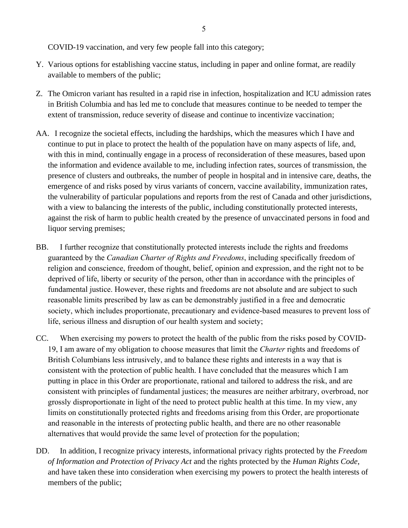COVID-19 vaccination, and very few people fall into this category;

- Y. Various options for establishing vaccine status, including in paper and online format, are readily available to members of the public;
- Z. The Omicron variant has resulted in a rapid rise in infection, hospitalization and ICU admission rates in British Columbia and has led me to conclude that measures continue to be needed to temper the extent of transmission, reduce severity of disease and continue to incentivize vaccination;
- AA. I recognize the societal effects, including the hardships, which the measures which I have and continue to put in place to protect the health of the population have on many aspects of life, and, with this in mind, continually engage in a process of reconsideration of these measures, based upon the information and evidence available to me, including infection rates, sources of transmission, the presence of clusters and outbreaks, the number of people in hospital and in intensive care, deaths, the emergence of and risks posed by virus variants of concern, vaccine availability, immunization rates, the vulnerability of particular populations and reports from the rest of Canada and other jurisdictions, with a view to balancing the interests of the public, including constitutionally protected interests, against the risk of harm to public health created by the presence of unvaccinated persons in food and liquor serving premises;
- BB. I further recognize that constitutionally protected interests include the rights and freedoms guaranteed by the *Canadian Charter of Rights and Freedoms*, including specifically freedom of religion and conscience, freedom of thought, belief, opinion and expression, and the right not to be deprived of life, liberty or security of the person, other than in accordance with the principles of fundamental justice. However, these rights and freedoms are not absolute and are subject to such reasonable limits prescribed by law as can be demonstrably justified in a free and democratic society, which includes proportionate, precautionary and evidence-based measures to prevent loss of life, serious illness and disruption of our health system and society;
- CC. When exercising my powers to protect the health of the public from the risks posed by COVID-19, I am aware of my obligation to choose measures that limit the *Charter* rights and freedoms of British Columbians less intrusively, and to balance these rights and interests in a way that is consistent with the protection of public health. I have concluded that the measures which I am putting in place in this Order are proportionate, rational and tailored to address the risk, and are consistent with principles of fundamental justices; the measures are neither arbitrary, overbroad, nor grossly disproportionate in light of the need to protect public health at this time. In my view, any limits on constitutionally protected rights and freedoms arising from this Order, are proportionate and reasonable in the interests of protecting public health, and there are no other reasonable alternatives that would provide the same level of protection for the population;
- DD. In addition, I recognize privacy interests, informational privacy rights protected by the *Freedom of Information and Protection of Privacy Act* and the rights protected by the *Human Rights Code*, and have taken these into consideration when exercising my powers to protect the health interests of members of the public;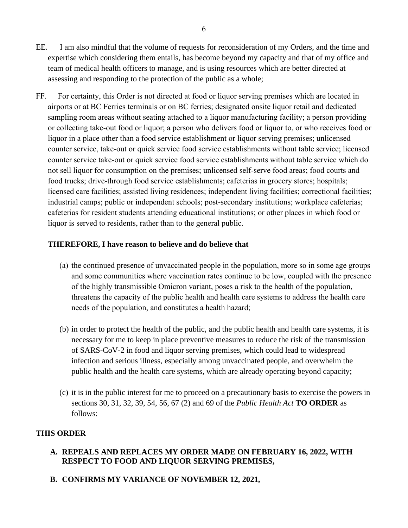- EE. I am also mindful that the volume of requests for reconsideration of my Orders, and the time and expertise which considering them entails, has become beyond my capacity and that of my office and team of medical health officers to manage, and is using resources which are better directed at assessing and responding to the protection of the public as a whole;
- FF. For certainty, this Order is not directed at food or liquor serving premises which are located in airports or at BC Ferries terminals or on BC ferries; designated onsite liquor retail and dedicated sampling room areas without seating attached to a liquor manufacturing facility; a person providing or collecting take-out food or liquor; a person who delivers food or liquor to, or who receives food or liquor in a place other than a food service establishment or liquor serving premises; unlicensed counter service, take-out or quick service food service establishments without table service; licensed counter service take-out or quick service food service establishments without table service which do not sell liquor for consumption on the premises; unlicensed self-serve food areas; food courts and food trucks; drive-through food service establishments; cafeterias in grocery stores; hospitals; licensed care facilities; assisted living residences; independent living facilities; correctional facilities; industrial camps; public or independent schools; post-secondary institutions; workplace cafeterias; cafeterias for resident students attending educational institutions; or other places in which food or liquor is served to residents, rather than to the general public.

# **THEREFORE, I have reason to believe and do believe that**

- (a) the continued presence of unvaccinated people in the population, more so in some age groups and some communities where vaccination rates continue to be low, coupled with the presence of the highly transmissible Omicron variant, poses a risk to the health of the population, threatens the capacity of the public health and health care systems to address the health care needs of the population, and constitutes a health hazard;
- (b) in order to protect the health of the public, and the public health and health care systems, it is necessary for me to keep in place preventive measures to reduce the risk of the transmission of SARS-CoV-2 in food and liquor serving premises, which could lead to widespread infection and serious illness, especially among unvaccinated people, and overwhelm the public health and the health care systems, which are already operating beyond capacity;
- (c) it is in the public interest for me to proceed on a precautionary basis to exercise the powers in sections 30, 31, 32, 39, 54, 56, 67 (2) and 69 of the *Public Health Act* **TO ORDER** as follows:

#### **THIS ORDER**

- **A. REPEALS AND REPLACES MY ORDER MADE ON FEBRUARY 16, 2022, WITH RESPECT TO FOOD AND LIQUOR SERVING PREMISES,**
- **B. CONFIRMS MY VARIANCE OF NOVEMBER 12, 2021,**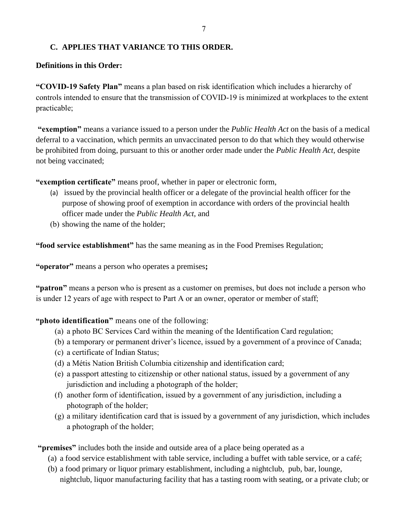# **C. APPLIES THAT VARIANCE TO THIS ORDER.**

# **Definitions in this Order:**

**"COVID-19 Safety Plan"** means a plan based on risk identification which includes a hierarchy of controls intended to ensure that the transmission of COVID-19 is minimized at workplaces to the extent practicable;

**"exemption"** means a variance issued to a person under the *Public Health Act* on the basis of a medical deferral to a vaccination, which permits an unvaccinated person to do that which they would otherwise be prohibited from doing, pursuant to this or another order made under the *Public Health Act*, despite not being vaccinated;

**"exemption certificate"** means proof, whether in paper or electronic form,

- (a) issued by the provincial health officer or a delegate of the provincial health officer for the purpose of showing proof of exemption in accordance with orders of the provincial health officer made under the *Public Health Act*, and
- (b) showing the name of the holder;

**"food service establishment"** has the same meaning as in the Food Premises Regulation;

**"operator"** means a person who operates a premises**;**

**"patron"** means a person who is present as a customer on premises, but does not include a person who is under 12 years of age with respect to Part A or an owner, operator or member of staff;

**"photo identification"** means one of the following:

- (a) a photo BC Services Card within the meaning of the Identification Card regulation;
- (b) a temporary or permanent driver's licence, issued by a government of a province of Canada;
- (c) a certificate of Indian Status;
- (d) a Métis Nation British Columbia citizenship and identification card;
- (e) a passport attesting to citizenship or other national status, issued by a government of any jurisdiction and including a photograph of the holder;
- (f) another form of identification, issued by a government of any jurisdiction, including a photograph of the holder;
- (g) a military identification card that is issued by a government of any jurisdiction, which includes a photograph of the holder;

**"premises"** includes both the inside and outside area of a place being operated as a

- (a) a food service establishment with table service, including a buffet with table service, or a café;
- (b) a food primary or liquor primary establishment, including a nightclub, pub, bar, lounge, nightclub, liquor manufacturing facility that has a tasting room with seating, or a private club; or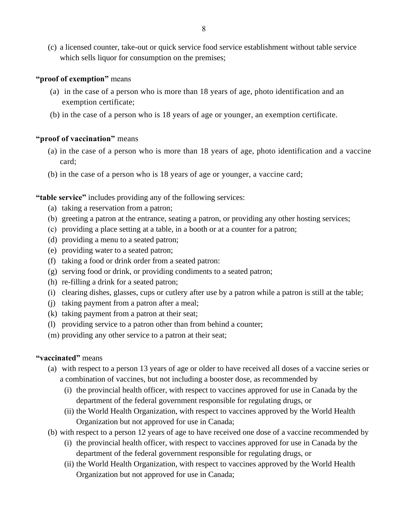(c) a licensed counter, take-out or quick service food service establishment without table service which sells liquor for consumption on the premises;

# **"proof of exemption"** means

- (a) in the case of a person who is more than 18 years of age, photo identification and an exemption certificate;
- (b) in the case of a person who is 18 years of age or younger, an exemption certificate.

# **"proof of vaccination"** means

- (a) in the case of a person who is more than 18 years of age, photo identification and a vaccine card;
- (b) in the case of a person who is 18 years of age or younger, a vaccine card;

# **"table service"** includes providing any of the following services:

- (a) taking a reservation from a patron;
- (b) greeting a patron at the entrance, seating a patron, or providing any other hosting services;
- (c) providing a place setting at a table, in a booth or at a counter for a patron;
- (d) providing a menu to a seated patron;
- (e) providing water to a seated patron;
- (f) taking a food or drink order from a seated patron:
- (g) serving food or drink, or providing condiments to a seated patron;
- (h) re-filling a drink for a seated patron;
- (i) clearing dishes, glasses, cups or cutlery after use by a patron while a patron is still at the table;
- (j) taking payment from a patron after a meal;
- (k) taking payment from a patron at their seat;
- (l) providing service to a patron other than from behind a counter;
- (m) providing any other service to a patron at their seat;

#### **"vaccinated"** means

- (a) with respect to a person 13 years of age or older to have received all doses of a vaccine series or a combination of vaccines, but not including a booster dose, as recommended by
	- (i) the provincial health officer, with respect to vaccines approved for use in Canada by the department of the federal government responsible for regulating drugs, or
	- (ii) the World Health Organization, with respect to vaccines approved by the World Health Organization but not approved for use in Canada;
- (b) with respect to a person 12 years of age to have received one dose of a vaccine recommended by
	- (i) the provincial health officer, with respect to vaccines approved for use in Canada by the department of the federal government responsible for regulating drugs, or
	- (ii) the World Health Organization, with respect to vaccines approved by the World Health Organization but not approved for use in Canada;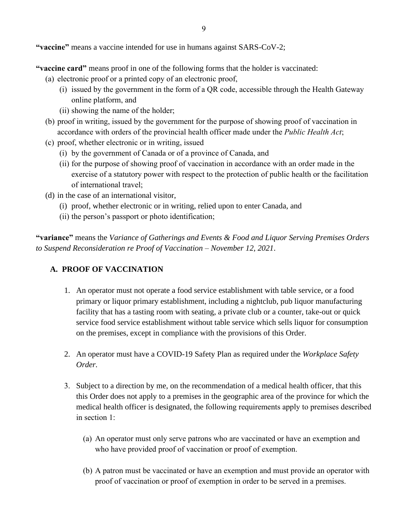**"vaccine"** means a vaccine intended for use in humans against SARS-CoV-2;

**"vaccine card"** means proof in one of the following forms that the holder is vaccinated:

- (a) electronic proof or a printed copy of an electronic proof,
	- (i) issued by the government in the form of a QR code, accessible through the Health Gateway online platform, and
	- (ii) showing the name of the holder;
- (b) proof in writing, issued by the government for the purpose of showing proof of vaccination in accordance with orders of the provincial health officer made under the *Public Health Act*;
- (c) proof, whether electronic or in writing, issued
	- (i) by the government of Canada or of a province of Canada, and
	- (ii) for the purpose of showing proof of vaccination in accordance with an order made in the exercise of a statutory power with respect to the protection of public health or the facilitation of international travel;
- (d) in the case of an international visitor,
	- (i) proof, whether electronic or in writing, relied upon to enter Canada, and
	- (ii) the person's passport or photo identification;

**"variance"** means the *Variance of Gatherings and Events & Food and Liquor Serving Premises Orders to Suspend Reconsideration re Proof of Vaccination – November 12, 2021*.

# **A. PROOF OF VACCINATION**

- 1. An operator must not operate a food service establishment with table service, or a food primary or liquor primary establishment, including a nightclub, pub liquor manufacturing facility that has a tasting room with seating, a private club or a counter, take-out or quick service food service establishment without table service which sells liquor for consumption on the premises, except in compliance with the provisions of this Order.
- 2. An operator must have a COVID-19 Safety Plan as required under the *Workplace Safety Order.*
- 3. Subject to a direction by me, on the recommendation of a medical health officer, that this this Order does not apply to a premises in the geographic area of the province for which the medical health officer is designated, the following requirements apply to premises described in section 1:
	- (a) An operator must only serve patrons who are vaccinated or have an exemption and who have provided proof of vaccination or proof of exemption.
	- (b) A patron must be vaccinated or have an exemption and must provide an operator with proof of vaccination or proof of exemption in order to be served in a premises.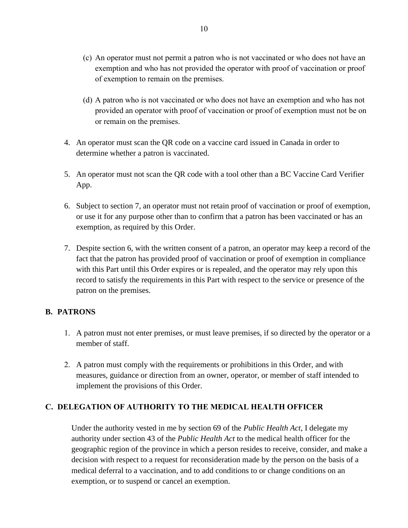- (c) An operator must not permit a patron who is not vaccinated or who does not have an exemption and who has not provided the operator with proof of vaccination or proof of exemption to remain on the premises.
- (d) A patron who is not vaccinated or who does not have an exemption and who has not provided an operator with proof of vaccination or proof of exemption must not be on or remain on the premises.
- 4. An operator must scan the QR code on a vaccine card issued in Canada in order to determine whether a patron is vaccinated.
- 5. An operator must not scan the QR code with a tool other than a BC Vaccine Card Verifier App.
- 6. Subject to section 7, an operator must not retain proof of vaccination or proof of exemption, or use it for any purpose other than to confirm that a patron has been vaccinated or has an exemption, as required by this Order.
- 7. Despite section 6, with the written consent of a patron, an operator may keep a record of the fact that the patron has provided proof of vaccination or proof of exemption in compliance with this Part until this Order expires or is repealed, and the operator may rely upon this record to satisfy the requirements in this Part with respect to the service or presence of the patron on the premises.

# **B. PATRONS**

- 1. A patron must not enter premises, or must leave premises, if so directed by the operator or a member of staff.
- 2. A patron must comply with the requirements or prohibitions in this Order, and with measures, guidance or direction from an owner, operator, or member of staff intended to implement the provisions of this Order.

# **C. DELEGATION OF AUTHORITY TO THE MEDICAL HEALTH OFFICER**

Under the authority vested in me by section 69 of the *Public Health Act*, I delegate my authority under section 43 of the *Public Health Act* to the medical health officer for the geographic region of the province in which a person resides to receive, consider, and make a decision with respect to a request for reconsideration made by the person on the basis of a medical deferral to a vaccination, and to add conditions to or change conditions on an exemption, or to suspend or cancel an exemption.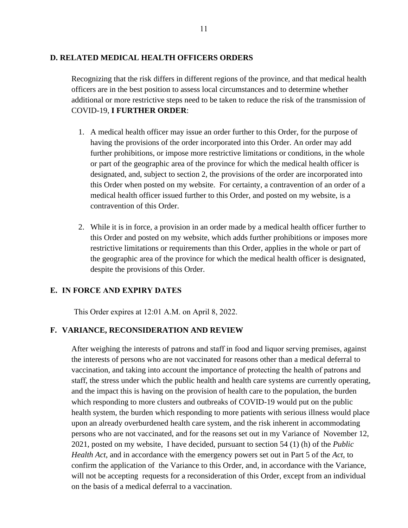#### **D. RELATED MEDICAL HEALTH OFFICERS ORDERS**

Recognizing that the risk differs in different regions of the province, and that medical health officers are in the best position to assess local circumstances and to determine whether additional or more restrictive steps need to be taken to reduce the risk of the transmission of COVID-19, **I FURTHER ORDER**:

- 1. A medical health officer may issue an order further to this Order, for the purpose of having the provisions of the order incorporated into this Order. An order may add further prohibitions, or impose more restrictive limitations or conditions, in the whole or part of the geographic area of the province for which the medical health officer is designated, and, subject to section 2, the provisions of the order are incorporated into this Order when posted on my website. For certainty, a contravention of an order of a medical health officer issued further to this Order, and posted on my website, is a contravention of this Order.
- 2. While it is in force, a provision in an order made by a medical health officer further to this Order and posted on my website, which adds further prohibitions or imposes more restrictive limitations or requirements than this Order, applies in the whole or part of the geographic area of the province for which the medical health officer is designated, despite the provisions of this Order.

#### **E. IN FORCE AND EXPIRY DATES**

This Order expires at 12:01 A.M. on April 8, 2022.

#### **F. VARIANCE, RECONSIDERATION AND REVIEW**

After weighing the interests of patrons and staff in food and liquor serving premises, against the interests of persons who are not vaccinated for reasons other than a medical deferral to vaccination, and taking into account the importance of protecting the health of patrons and staff, the stress under which the public health and health care systems are currently operating, and the impact this is having on the provision of health care to the population, the burden which responding to more clusters and outbreaks of COVID-19 would put on the public health system, the burden which responding to more patients with serious illness would place upon an already overburdened health care system, and the risk inherent in accommodating persons who are not vaccinated, and for the reasons set out in my Variance of November 12, 2021, posted on my website, I have decided, pursuant to section 54 (1) (h) of the *Public Health Act*, and in accordance with the emergency powers set out in Part 5 of the *Act*, to confirm the application of the Variance to this Order, and, in accordance with the Variance, will not be accepting requests for a reconsideration of this Order, except from an individual on the basis of a medical deferral to a vaccination.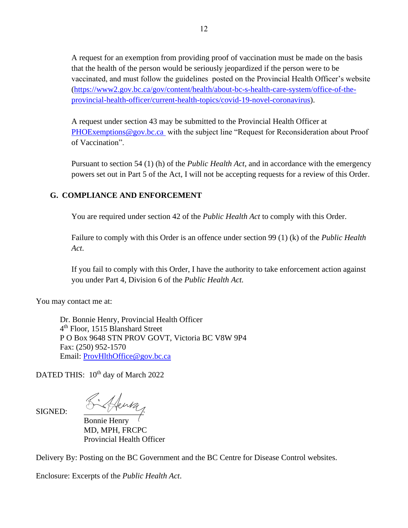A request for an exemption from providing proof of vaccination must be made on the basis that the health of the person would be seriously jeopardized if the person were to be vaccinated, and must follow the guidelines posted on the Provincial Health Officer's website [\(https://www2.gov.bc.ca/gov/content/health/about-bc-s-health-care-system/office-of-the](https://www2.gov.bc.ca/gov/content/health/about-bc-s-health-care-system/office-of-the-provincial-health-officer/current-health-topics/covid-19-novel-coronavirus)[provincial-health-officer/current-health-topics/covid-19-novel-coronavirus\)](https://www2.gov.bc.ca/gov/content/health/about-bc-s-health-care-system/office-of-the-provincial-health-officer/current-health-topics/covid-19-novel-coronavirus).

A request under section 43 may be submitted to the Provincial Health Officer at [PHOExemptions@gov.bc.ca](mailto:PHOExemptions@gov.bc.ca) with the subject line "Request for Reconsideration about Proof of Vaccination".

Pursuant to section 54 (1) (h) of the *Public Health Act*, and in accordance with the emergency powers set out in Part 5 of the Act, I will not be accepting requests for a review of this Order.

# **G. COMPLIANCE AND ENFORCEMENT**

You are required under section 42 of the *Public Health Act* to comply with this Order.

Failure to comply with this Order is an offence under section 99 (1) (k) of the *Public Health Act*.

If you fail to comply with this Order, I have the authority to take enforcement action against you under Part 4, Division 6 of the *Public Health Act.*

You may contact me at:

Dr. Bonnie Henry, Provincial Health Officer 4<sup>th</sup> Floor, 1515 Blanshard Street P O Box 9648 STN PROV GOVT, Victoria BC V8W 9P4 Fax: (250) 952-1570 Email: [ProvHlthOffice@gov.bc.ca](mailto:ProvHlthOffice@gov.bc.ca)

DATED THIS: 10<sup>th</sup> day of March 2022

SIGNED: Signey

Bonnie Henry MD, MPH, FRCPC Provincial Health Officer

Delivery By: Posting on the BC Government and the BC Centre for Disease Control websites.

Enclosure: Excerpts of the *Public Health Act*.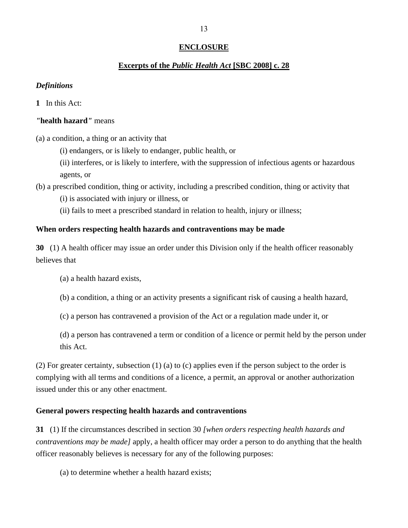# **ENCLOSURE**

#### **Excerpts of the** *Public Health Act* **[SBC 2008] c. 28**

#### *Definitions*

**1** In this Act:

#### *"***health hazard***"* means

(a) a condition, a thing or an activity that

(i) endangers, or is likely to endanger, public health, or

(ii) interferes, or is likely to interfere, with the suppression of infectious agents or hazardous agents, or

(b) a prescribed condition, thing or activity, including a prescribed condition, thing or activity that

(i) is associated with injury or illness, or

(ii) fails to meet a prescribed standard in relation to health, injury or illness;

#### **When orders respecting health hazards and contraventions may be made**

**30** (1) A health officer may issue an order under this Division only if the health officer reasonably believes that

(a) a health hazard exists,

(b) a condition, a thing or an activity presents a significant risk of causing a health hazard,

(c) a person has contravened a provision of the Act or a regulation made under it, or

(d) a person has contravened a term or condition of a licence or permit held by the person under this Act.

(2) For greater certainty, subsection (1) (a) to (c) applies even if the person subject to the order is complying with all terms and conditions of a licence, a permit, an approval or another authorization issued under this or any other enactment.

#### **General powers respecting health hazards and contraventions**

**31** (1) If the circumstances described in section 30 *[when orders respecting health hazards and contraventions may be made]* apply, a health officer may order a person to do anything that the health officer reasonably believes is necessary for any of the following purposes:

(a) to determine whether a health hazard exists;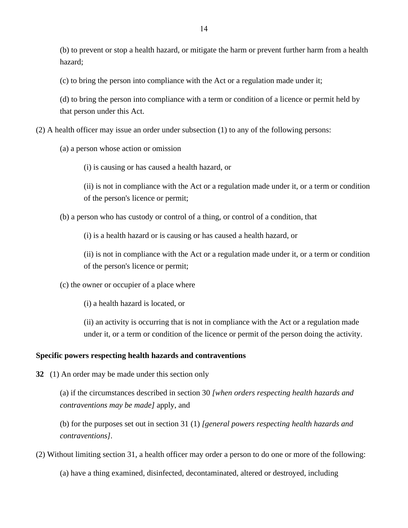(b) to prevent or stop a health hazard, or mitigate the harm or prevent further harm from a health hazard;

(c) to bring the person into compliance with the Act or a regulation made under it;

(d) to bring the person into compliance with a term or condition of a licence or permit held by that person under this Act.

(2) A health officer may issue an order under subsection (1) to any of the following persons:

(a) a person whose action or omission

(i) is causing or has caused a health hazard, or

(ii) is not in compliance with the Act or a regulation made under it, or a term or condition of the person's licence or permit;

(b) a person who has custody or control of a thing, or control of a condition, that

(i) is a health hazard or is causing or has caused a health hazard, or

(ii) is not in compliance with the Act or a regulation made under it, or a term or condition of the person's licence or permit;

(c) the owner or occupier of a place where

(i) a health hazard is located, or

(ii) an activity is occurring that is not in compliance with the Act or a regulation made under it, or a term or condition of the licence or permit of the person doing the activity.

#### **Specific powers respecting health hazards and contraventions**

**32** (1) An order may be made under this section only

(a) if the circumstances described in section 30 *[when orders respecting health hazards and contraventions may be made]* apply, and

(b) for the purposes set out in section 31 (1) *[general powers respecting health hazards and contraventions]*.

(2) Without limiting section 31, a health officer may order a person to do one or more of the following:

(a) have a thing examined, disinfected, decontaminated, altered or destroyed, including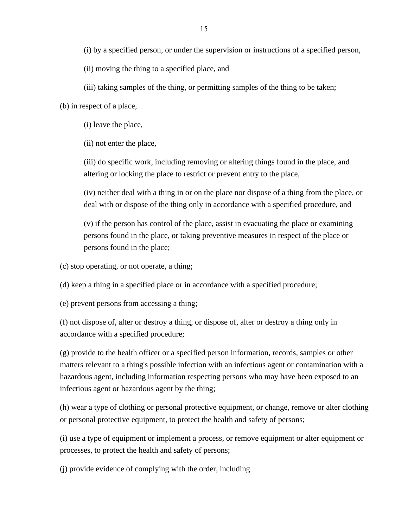(i) by a specified person, or under the supervision or instructions of a specified person,

(ii) moving the thing to a specified place, and

(iii) taking samples of the thing, or permitting samples of the thing to be taken;

(b) in respect of a place,

(i) leave the place,

(ii) not enter the place,

(iii) do specific work, including removing or altering things found in the place, and altering or locking the place to restrict or prevent entry to the place,

(iv) neither deal with a thing in or on the place nor dispose of a thing from the place, or deal with or dispose of the thing only in accordance with a specified procedure, and

(v) if the person has control of the place, assist in evacuating the place or examining persons found in the place, or taking preventive measures in respect of the place or persons found in the place;

(c) stop operating, or not operate, a thing;

(d) keep a thing in a specified place or in accordance with a specified procedure;

(e) prevent persons from accessing a thing;

(f) not dispose of, alter or destroy a thing, or dispose of, alter or destroy a thing only in accordance with a specified procedure;

(g) provide to the health officer or a specified person information, records, samples or other matters relevant to a thing's possible infection with an infectious agent or contamination with a hazardous agent, including information respecting persons who may have been exposed to an infectious agent or hazardous agent by the thing;

(h) wear a type of clothing or personal protective equipment, or change, remove or alter clothing or personal protective equipment, to protect the health and safety of persons;

(i) use a type of equipment or implement a process, or remove equipment or alter equipment or processes, to protect the health and safety of persons;

(j) provide evidence of complying with the order, including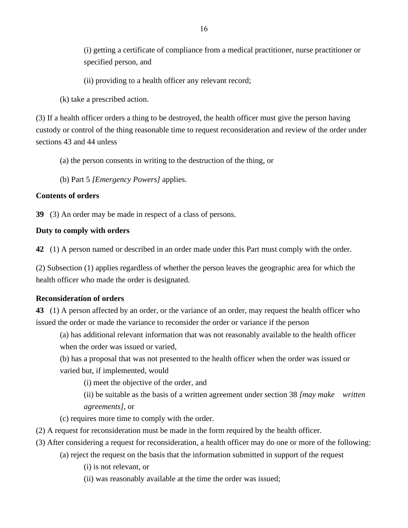(i) getting a certificate of compliance from a medical practitioner, nurse practitioner or specified person, and

(ii) providing to a health officer any relevant record;

(k) take a prescribed action.

(3) If a health officer orders a thing to be destroyed, the health officer must give the person having custody or control of the thing reasonable time to request reconsideration and review of the order under sections 43 and 44 unless

(a) the person consents in writing to the destruction of the thing, or

(b) Part 5 *[Emergency Powers]* applies.

# **Contents of orders**

**39** (3) An order may be made in respect of a class of persons.

# **Duty to comply with orders**

**42** (1) A person named or described in an order made under this Part must comply with the order.

(2) Subsection (1) applies regardless of whether the person leaves the geographic area for which the health officer who made the order is designated.

#### **Reconsideration of orders**

**43** (1) A person affected by an order, or the variance of an order, may request the health officer who issued the order or made the variance to reconsider the order or variance if the person

(a) has additional relevant information that was not reasonably available to the health officer when the order was issued or varied,

(b) has a proposal that was not presented to the health officer when the order was issued or varied but, if implemented, would

(i) meet the objective of the order, and

(ii) be suitable as the basis of a written agreement under section 38 *[may make written agreements]*, or

(c) requires more time to comply with the order.

- (2) A request for reconsideration must be made in the form required by the health officer.
- (3) After considering a request for reconsideration, a health officer may do one or more of the following:
	- (a) reject the request on the basis that the information submitted in support of the request

(i) is not relevant, or

(ii) was reasonably available at the time the order was issued;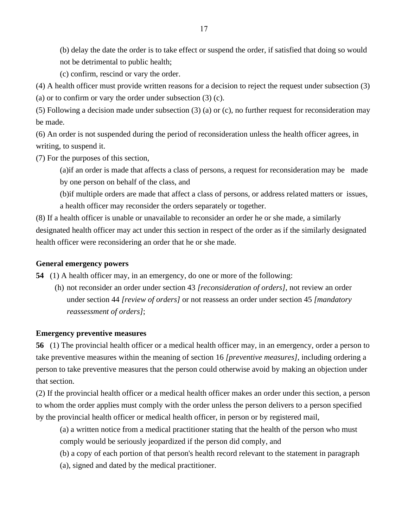(b) delay the date the order is to take effect or suspend the order, if satisfied that doing so would not be detrimental to public health;

(c) confirm, rescind or vary the order.

(4) A health officer must provide written reasons for a decision to reject the request under subsection (3)

(a) or to confirm or vary the order under subsection (3) (c).

(5) Following a decision made under subsection (3) (a) or (c), no further request for reconsideration may be made.

(6) An order is not suspended during the period of reconsideration unless the health officer agrees, in writing, to suspend it.

(7) For the purposes of this section,

(a)if an order is made that affects a class of persons, a request for reconsideration may be made by one person on behalf of the class, and

(b)if multiple orders are made that affect a class of persons, or address related matters or issues, a health officer may reconsider the orders separately or together.

(8) If a health officer is unable or unavailable to reconsider an order he or she made, a similarly designated health officer may act under this section in respect of the order as if the similarly designated health officer were reconsidering an order that he or she made.

# **General emergency powers**

**54** (1) A health officer may, in an emergency, do one or more of the following:

(h) not reconsider an order under section 43 *[reconsideration of orders]*, not review an order under section 44 *[review of orders]* or not reassess an order under section 45 *[mandatory reassessment of orders]*;

# **Emergency preventive measures**

**56** (1) The provincial health officer or a medical health officer may, in an emergency, order a person to take preventive measures within the meaning of section 16 *[preventive measures]*, including ordering a person to take preventive measures that the person could otherwise avoid by making an objection under that section.

(2) If the provincial health officer or a medical health officer makes an order under this section, a person to whom the order applies must comply with the order unless the person delivers to a person specified by the provincial health officer or medical health officer, in person or by registered mail,

(a) a written notice from a medical practitioner stating that the health of the person who must comply would be seriously jeopardized if the person did comply, and

(b) a copy of each portion of that person's health record relevant to the statement in paragraph

(a), signed and dated by the medical practitioner.